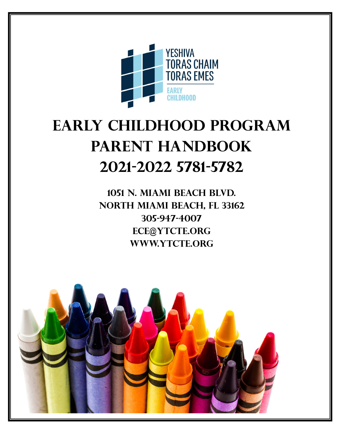

# EARLY CHILDHOOD PROGRAM PARENT HANDBOOK 2021-2022 5781-5782

1051 N. Miami Beach Blvd. North Miami Beach, FL 33162 305-947-4007 ECE@YTCTE.ORG WWW.YTCTE.ORG

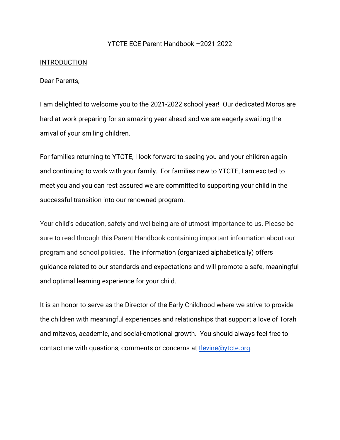#### YTCTE ECE Parent Handbook –2021-2022

#### **INTRODUCTION**

Dear Parents,

I am delighted to welcome you to the 2021-2022 school year! Our dedicated Moros are hard at work preparing for an amazing year ahead and we are eagerly awaiting the arrival of your smiling children.

For families returning to YTCTE, I look forward to seeing you and your children again and continuing to work with your family. For families new to YTCTE, I am excited to meet you and you can rest assured we are committed to supporting your child in the successful transition into our renowned program.

Your child's education, safety and wellbeing are of utmost importance to us. Please be sure to read through this Parent Handbook containing important information about our program and school policies. The information (organized alphabetically) offers guidance related to our standards and expectations and will promote a safe, meaningful and optimal learning experience for your child.

It is an honor to serve as the Director of the Early Childhood where we strive to provide the children with meaningful experiences and relationships that support a love of Torah and mitzvos, academic, and social-emotional growth. You should always feel free to contact me with questions, comments or concerns at [tlevine@ytcte.org.](mailto:tlevine@ytcte.org)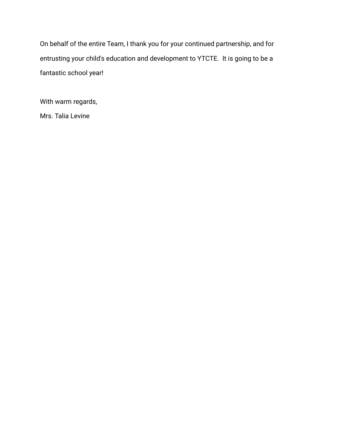On behalf of the entire Team, I thank you for your continued partnership, and for entrusting your child's education and development to YTCTE. It is going to be a fantastic school year!

With warm regards,

Mrs. Talia Levine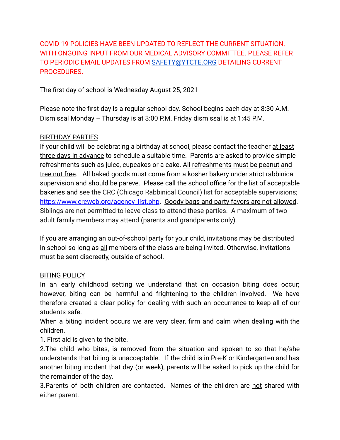COVID-19 POLICIES HAVE BEEN UPDATED TO REFLECT THE CURRENT SITUATION, WITH ONGOING INPUT FROM OUR MEDICAL ADVISORY COMMITTEE. PLEASE REFER TO PERIODIC EMAIL UPDATES FROM [SAFETY@YTCTE.ORG](mailto:SAFETY@YTCTE.ORG) DETAILING CURRENT PROCEDURES.

The first day of school is Wednesday August 25, 2021

Please note the first day is a regular school day. School begins each day at 8:30 A.M. Dismissal Monday – Thursday is at 3:00 P.M. Friday dismissal is at 1:45 P.M.

# BIRTHDAY PARTIES

If your child will be celebrating a birthday at school, please contact the teacher at least three days in advance to schedule a suitable time. Parents are asked to provide simple refreshments such as juice, cupcakes or a cake. All refreshments must be peanut and tree nut free. All baked goods must come from a kosher bakery under strict rabbinical supervision and should be pareve. Please call the school office for the list of acceptable bakeries and see the CRC (Chicago Rabbinical Council) list for acceptable supervisions; [https://www.crcweb.org/agency\\_list.php](https://www.crcweb.org/agency_list.php). Goody bags and party favors are not allowed. Siblings are not permitted to leave class to attend these parties. A maximum of two adult family members may attend (parents and grandparents only).

If you are arranging an out-of-school party for your child, invitations may be distributed in school so long as all members of the class are being invited. Otherwise, invitations must be sent discreetly, outside of school.

#### BITING POLICY

In an early childhood setting we understand that on occasion biting does occur; however, biting can be harmful and frightening to the children involved. We have therefore created a clear policy for dealing with such an occurrence to keep all of our students safe.

When a biting incident occurs we are very clear, firm and calm when dealing with the children.

1. First aid is given to the bite.

2.The child who bites, is removed from the situation and spoken to so that he/she understands that biting is unacceptable. If the child is in Pre-K or Kindergarten and has another biting incident that day (or week), parents will be asked to pick up the child for the remainder of the day.

3.Parents of both children are contacted. Names of the children are not shared with either parent.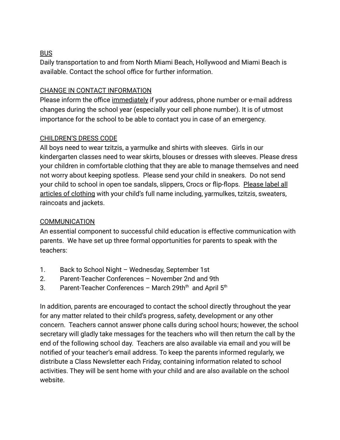# BUS

Daily transportation to and from North Miami Beach, Hollywood and Miami Beach is available. Contact the school office for further information.

#### CHANGE IN CONTACT INFORMATION

Please inform the office immediately if your address, phone number or e-mail address changes during the school year (especially your cell phone number). It is of utmost importance for the school to be able to contact you in case of an emergency.

#### CHILDREN'S DRESS CODE

All boys need to wear tzitzis, a yarmulke and shirts with sleeves. Girls in our kindergarten classes need to wear skirts, blouses or dresses with sleeves. Please dress your children in comfortable clothing that they are able to manage themselves and need not worry about keeping spotless. Please send your child in sneakers. Do not send your child to school in open toe sandals, slippers, Crocs or flip-flops. Please label all articles of clothing with your child's full name including, yarmulkes, tzitzis, sweaters, raincoats and jackets.

#### **COMMUNICATION**

An essential component to successful child education is effective communication with parents. We have set up three formal opportunities for parents to speak with the teachers:

- 1. Back to School Night Wednesday, September 1st
- 2. Parent-Teacher Conferences November 2nd and 9th
- 3. Parent-Teacher Conferences March 29th<sup>th</sup> and April  $5<sup>th</sup>$

In addition, parents are encouraged to contact the school directly throughout the year for any matter related to their child's progress, safety, development or any other concern. Teachers cannot answer phone calls during school hours; however, the school secretary will gladly take messages for the teachers who will then return the call by the end of the following school day. Teachers are also available via email and you will be notified of your teacher's email address. To keep the parents informed regularly, we distribute a Class Newsletter each Friday, containing information related to school activities. They will be sent home with your child and are also available on the school website.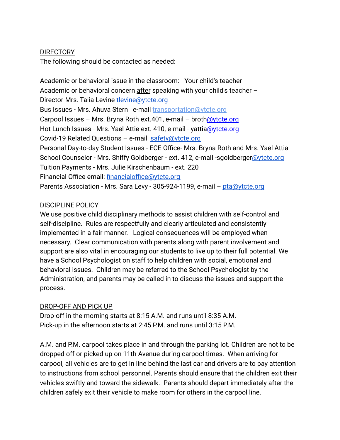#### DIRECTORY

The following should be contacted as needed:

Academic or behavioral issue in the classroom: - Your child's teacher Academic or behavioral concern after speaking with your child's teacher – Director-Mrs. Talia Levine [tlevine@ytcte.org](mailto:tlevine@ytcte.org) Bus Issues - Mrs. Ahuva Stern e-mail transportation[@ytcte.org](mailto:astern@ytcte.org) Carpool Issues – Mrs. Bryna Roth ext. 401, e-mail – broth $\omega$ ytcte.org Hot Lunch Issues - Mrs. Yael Attie ext. 410, e-mail - yattia[@ytcte.org](mailto:stamir@ytcte.org) Covid-19 Related Questions – e-mail safety@ytcte.org Personal Day-to-day Student Issues - ECE Office- Mrs. Bryna Roth and Mrs. Yael Attia School Counselor - Mrs. Shiffy Goldberger - ext. 412, e-mail -sgoldberger@ytcte.org Tuition Payments - Mrs. Julie Kirschenbaum - ext. 220 Financial Office email: financialoffice@ytcte.org Parents Association - Mrs. Sara Levy - 305-924-1199, e-mail - pta@ytcte.org

#### DISCIPLINE POLICY

We use positive child disciplinary methods to assist children with self-control and self-discipline. Rules are respectfully and clearly articulated and consistently implemented in a fair manner. Logical consequences will be employed when necessary. Clear communication with parents along with parent involvement and support are also vital in encouraging our students to live up to their full potential. We have a School Psychologist on staff to help children with social, emotional and behavioral issues. Children may be referred to the School Psychologist by the Administration, and parents may be called in to discuss the issues and support the process.

# DROP-OFF AND PICK UP

Drop-off in the morning starts at 8:15 A.M. and runs until 8:35 A.M. Pick-up in the afternoon starts at 2:45 P.M. and runs until 3:15 P.M.

A.M. and P.M. carpool takes place in and through the parking lot. Children are not to be dropped off or picked up on 11th Avenue during carpool times. When arriving for carpool, all vehicles are to get in line behind the last car and drivers are to pay attention to instructions from school personnel. Parents should ensure that the children exit their vehicles swiftly and toward the sidewalk. Parents should depart immediately after the children safely exit their vehicle to make room for others in the carpool line.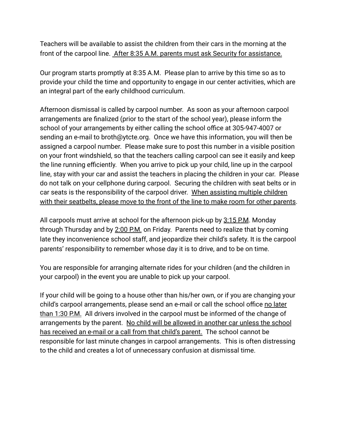Teachers will be available to assist the children from their cars in the morning at the front of the carpool line. After 8:35 A.M. parents must ask Security for assistance.

Our program starts promptly at 8:35 A.M. Please plan to arrive by this time so as to provide your child the time and opportunity to engage in our center activities, which are an integral part of the early childhood curriculum.

Afternoon dismissal is called by carpool number. As soon as your afternoon carpool arrangements are finalized (prior to the start of the school year), please inform the school of your arrangements by either calling the school office at 305-947-4007 or sending an e-mail to broth@ytcte.org. Once we have this information, you will then be assigned a carpool number. Please make sure to post this number in a visible position on your front windshield, so that the teachers calling carpool can see it easily and keep the line running efficiently. When you arrive to pick up your child, line up in the carpool line, stay with your car and assist the teachers in placing the children in your car. Please do not talk on your cellphone during carpool. Securing the children with seat belts or in car seats is the responsibility of the carpool driver. When assisting multiple children with their seatbelts, please move to the front of the line to make room for other parents.

All carpools must arrive at school for the afternoon pick-up by 3:15 P.M. Monday through Thursday and by 2:00 P.M. on Friday. Parents need to realize that by coming late they inconvenience school staff, and jeopardize their child's safety. It is the carpool parents' responsibility to remember whose day it is to drive, and to be on time.

You are responsible for arranging alternate rides for your children (and the children in your carpool) in the event you are unable to pick up your carpool.

If your child will be going to a house other than his/her own, or if you are changing your child's carpool arrangements, please send an e-mail or call the school office no later than 1:30 P.M. All drivers involved in the carpool must be informed of the change of arrangements by the parent. No child will be allowed in another car unless the school has received an e-mail or a call from that child's parent. The school cannot be responsible for last minute changes in carpool arrangements. This is often distressing to the child and creates a lot of unnecessary confusion at dismissal time.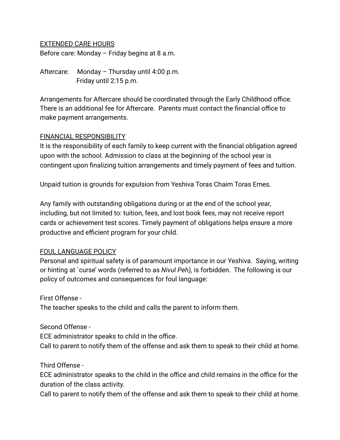#### EXTENDED CARE HOURS

Before care: Monday – Friday begins at 8 a.m.

Aftercare: Monday – Thursday until 4:00 p.m. Friday until 2:15 p.m.

Arrangements for Aftercare should be coordinated through the Early Childhood office. There is an additional fee for Aftercare. Parents must contact the financial office to make payment arrangements.

#### FINANCIAL RESPONSIBILITY

It is the responsibility of each family to keep current with the financial obligation agreed upon with the school. Admission to class at the beginning of the school year is contingent upon finalizing tuition arrangements and timely payment of fees and tuition.

Unpaid tuition is grounds for expulsion from Yeshiva Toras Chaim Toras Emes.

Any family with outstanding obligations during or at the end of the school year, including, but not limited to: tuition, fees, and lost book fees, may not receive report cards or achievement test scores. Timely payment of obligations helps ensure a more productive and efficient program for your child.

#### FOUL LANGUAGE POLICY

Personal and spiritual safety is of paramount importance in our Yeshiva. Saying, writing or hinting at `curse' words (referred to as *Nivul Peh),* is forbidden. The following is our policy of outcomes and consequences for foul language:

First Offense -

The teacher speaks to the child and calls the parent to inform them.

Second Offense -

ECE administrator speaks to child in the office.

Call to parent to notify them of the offense and ask them to speak to their child at home.

Third Offense -

ECE administrator speaks to the child in the office and child remains in the office for the duration of the class activity.

Call to parent to notify them of the offense and ask them to speak to their child at home.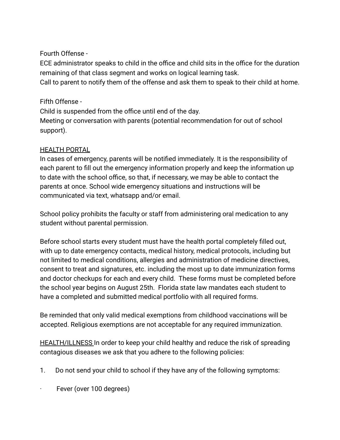# Fourth Offense -

ECE administrator speaks to child in the office and child sits in the office for the duration remaining of that class segment and works on logical learning task. Call to parent to notify them of the offense and ask them to speak to their child at home.

# Fifth Offense -

Child is suspended from the office until end of the day. Meeting or conversation with parents (potential recommendation for out of school support).

#### HEALTH PORTAL

In cases of emergency, parents will be notified immediately. It is the responsibility of each parent to fill out the emergency information properly and keep the information up to date with the school office, so that, if necessary, we may be able to contact the parents at once. School wide emergency situations and instructions will be communicated via text, whatsapp and/or email.

School policy prohibits the faculty or staff from administering oral medication to any student without parental permission.

Before school starts every student must have the health portal completely filled out, with up to date emergency contacts, medical history, medical protocols, including but not limited to medical conditions, allergies and administration of medicine directives, consent to treat and signatures, etc. including the most up to date immunization forms and doctor checkups for each and every child. These forms must be completed before the school year begins on August 25th. Florida state law mandates each student to have a completed and submitted medical portfolio with all required forms.

Be reminded that only valid medical exemptions from childhood vaccinations will be accepted. Religious exemptions are not acceptable for any required immunization.

HEALTH/ILLNESS In order to keep your child healthy and reduce the risk of spreading contagious diseases we ask that you adhere to the following policies:

- 1. Do not send your child to school if they have any of the following symptoms:
- Fever (over 100 degrees)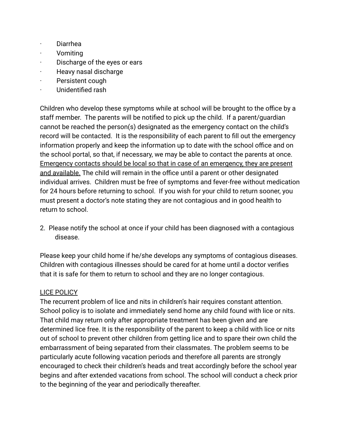- · Diarrhea
- · Vomiting
- Discharge of the eyes or ears
- · Heavy nasal discharge
- · Persistent cough
- · Unidentified rash

Children who develop these symptoms while at school will be brought to the office by a staff member. The parents will be notified to pick up the child. If a parent/guardian cannot be reached the person(s) designated as the emergency contact on the child's record will be contacted. It is the responsibility of each parent to fill out the emergency information properly and keep the information up to date with the school office and on the school portal, so that, if necessary, we may be able to contact the parents at once. Emergency contacts should be local so that in case of an emergency, they are present and available. The child will remain in the office until a parent or other designated individual arrives. Children must be free of symptoms and fever-free without medication for 24 hours before returning to school. If you wish for your child to return sooner, you must present a doctor's note stating they are not contagious and in good health to return to school.

2. Please notify the school at once if your child has been diagnosed with a contagious disease.

Please keep your child home if he/she develops any symptoms of contagious diseases. Children with contagious illnesses should be cared for at home until a doctor verifies that it is safe for them to return to school and they are no longer contagious.

#### LICE POLICY

The recurrent problem of lice and nits in children's hair requires constant attention. School policy is to isolate and immediately send home any child found with lice or nits. That child may return only after appropriate treatment has been given and are determined lice free. It is the responsibility of the parent to keep a child with lice or nits out of school to prevent other children from getting lice and to spare their own child the embarrassment of being separated from their classmates. The problem seems to be particularly acute following vacation periods and therefore all parents are strongly encouraged to check their children's heads and treat accordingly before the school year begins and after extended vacations from school. The school will conduct a check prior to the beginning of the year and periodically thereafter.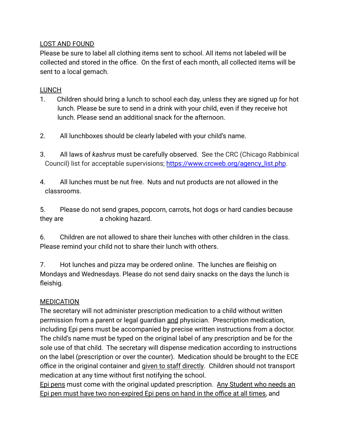#### LOST AND FOUND

Please be sure to label all clothing items sent to school. All items not labeled will be collected and stored in the office. On the first of each month, all collected items will be sent to a local gemach.

#### LUNCH

- 1. Children should bring a lunch to school each day, unless they are signed up for hot lunch. Please be sure to send in a drink with your child, even if they receive hot lunch. Please send an additional snack for the afternoon.
- 2. All lunchboxes should be clearly labeled with your child's name.
- 3. All laws of *kashrus* must be carefully observed. See the CRC (Chicago Rabbinical Council) list for acceptable supervisions; [https://www.crcweb.org/agency\\_list.php](https://www.crcweb.org/agency_list.php).
- 4. All lunches must be nut free. Nuts and nut products are not allowed in the classrooms.

5. Please do not send grapes, popcorn, carrots, hot dogs or hard candies because they are **a** choking hazard.

6. Children are not allowed to share their lunches with other children in the class. Please remind your child not to share their lunch with others.

7. Hot lunches and pizza may be ordered online. The lunches are fleishig on Mondays and Wednesdays. Please do not send dairy snacks on the days the lunch is fleishig.

# **MEDICATION**

The secretary will not administer prescription medication to a child without written permission from a parent or legal guardian and physician. Prescription medication, including Epi pens must be accompanied by precise written instructions from a doctor. The child's name must be typed on the original label of any prescription and be for the sole use of that child. The secretary will dispense medication according to instructions on the label (prescription or over the counter). Medication should be brought to the ECE office in the original container and given to staff directly. Children should not transport medication at any time without first notifying the school.

Epi pens must come with the original updated prescription. Any Student who needs an Epi pen must have two non-expired Epi pens on hand in the office at all times, and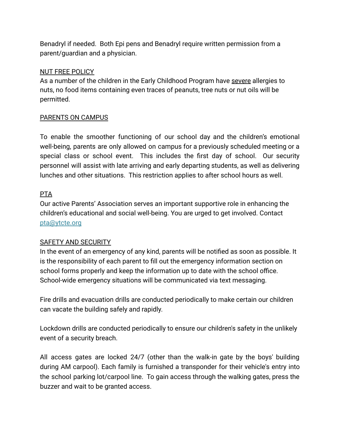Benadryl if needed. Both Epi pens and Benadryl require written permission from a parent/guardian and a physician.

# NUT FREE POLICY

As a number of the children in the Early Childhood Program have severe allergies to nuts, no food items containing even traces of peanuts, tree nuts or nut oils will be permitted.

# PARENTS ON CAMPUS

To enable the smoother functioning of our school day and the children's emotional well-being, parents are only allowed on campus for a previously scheduled meeting or a special class or school event. This includes the first day of school. Our security personnel will assist with late arriving and early departing students, as well as delivering lunches and other situations. This restriction applies to after school hours as well.

# **PTA**

Our active Parents' Association serves an important supportive role in enhancing the children's educational and social well-being. You are urged to get involved. Contact pta@ytcte.org

# SAFETY AND SECURITY

In the event of an emergency of any kind, parents will be notified as soon as possible. It is the responsibility of each parent to fill out the emergency information section on school forms properly and keep the information up to date with the school office. School-wide emergency situations will be communicated via text messaging.

Fire drills and evacuation drills are conducted periodically to make certain our children can vacate the building safely and rapidly.

Lockdown drills are conducted periodically to ensure our children's safety in the unlikely event of a security breach.

All access gates are locked 24/7 (other than the walk-in gate by the boys' building during AM carpool). Each family is furnished a transponder for their vehicle's entry into the school parking lot/carpool line. To gain access through the walking gates, press the buzzer and wait to be granted access.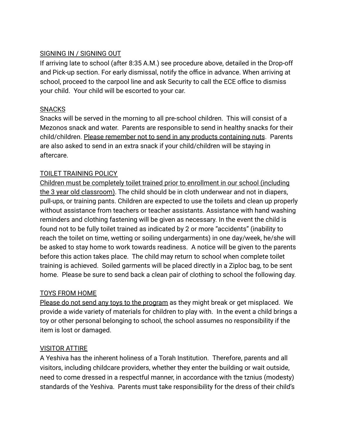#### SIGNING IN / SIGNING OUT

If arriving late to school (after 8:35 A.M.) see procedure above, detailed in the Drop-off and Pick-up section. For early dismissal, notify the office in advance. When arriving at school, proceed to the carpool line and ask Security to call the ECE office to dismiss your child. Your child will be escorted to your car.

#### SNACKS

Snacks will be served in the morning to all pre-school children. This will consist of a Mezonos snack and water. Parents are responsible to send in healthy snacks for their child/children. Please remember not to send in any products containing nuts. Parents are also asked to send in an extra snack if your child/children will be staying in aftercare.

# TOILET TRAINING POLICY

Children must be completely toilet trained prior to enrollment in our school (including the 3 year old classroom). The child should be in cloth underwear and not in diapers, pull-ups, or training pants. Children are expected to use the toilets and clean up properly without assistance from teachers or teacher assistants. Assistance with hand washing reminders and clothing fastening will be given as necessary. In the event the child is found not to be fully toilet trained as indicated by 2 or more "accidents" (inability to reach the toilet on time, wetting or soiling undergarments) in one day/week, he/she will be asked to stay home to work towards readiness. A notice will be given to the parents before this action takes place. The child may return to school when complete toilet training is achieved. Soiled garments will be placed directly in a Ziploc bag, to be sent home. Please be sure to send back a clean pair of clothing to school the following day.

# TOYS FROM HOME

Please do not send any toys to the program as they might break or get misplaced. We provide a wide variety of materials for children to play with. In the event a child brings a toy or other personal belonging to school, the school assumes no responsibility if the item is lost or damaged.

# VISITOR ATTIRE

A Yeshiva has the inherent holiness of a Torah Institution. Therefore, parents and all visitors, including childcare providers, whether they enter the building or wait outside, need to come dressed in a respectful manner, in accordance with the tznius (modesty) standards of the Yeshiva. Parents must take responsibility for the dress of their child's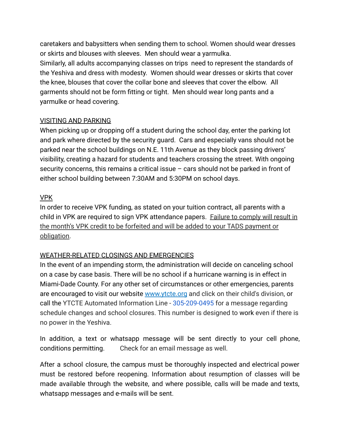caretakers and babysitters when sending them to school. Women should wear dresses or skirts and blouses with sleeves. Men should wear a yarmulka.

Similarly, all adults accompanying classes on trips need to represent the standards of the Yeshiva and dress with modesty. Women should wear dresses or skirts that cover the knee, blouses that cover the collar bone and sleeves that cover the elbow. All garments should not be form fitting or tight. Men should wear long pants and a yarmulke or head covering.

#### VISITING AND PARKING

When picking up or dropping off a student during the school day, enter the parking lot and park where directed by the security guard. Cars and especially vans should not be parked near the school buildings on N.E. 11th Avenue as they block passing drivers' visibility, creating a hazard for students and teachers crossing the street. With ongoing security concerns, this remains a critical issue – cars should not be parked in front of either school building between 7:30AM and 5:30PM on school days.

#### VPK

In order to receive VPK funding, as stated on your tuition contract, all parents with a child in VPK are required to sign VPK attendance papers. Failure to comply will result in the month's VPK credit to be forfeited and will be added to your TADS payment or obligation.

# WEATHER-RELATED CLOSINGS AND EMERGENCIES

In the event of an impending storm, the administration will decide on canceling school on a case by case basis. There will be no school if a hurricane warning is in effect in Miami-Dade County. For any other set of circumstances or other emergencies, parents are encouraged to visit our website www.ytcte.org and click on their child's division, or call the YTCTE Automated Information Line - 305-209-0495 for a message regarding schedule changes and school closures. This number is designed to work even if there is no power in the Yeshiva.

In addition, a text or whatsapp message will be sent directly to your cell phone, conditions permitting. Check for an email message as well.

After a school closure, the campus must be thoroughly inspected and electrical power must be restored before reopening. Information about resumption of classes will be made available through the website, and where possible, calls will be made and texts, whatsapp messages and e-mails will be sent.